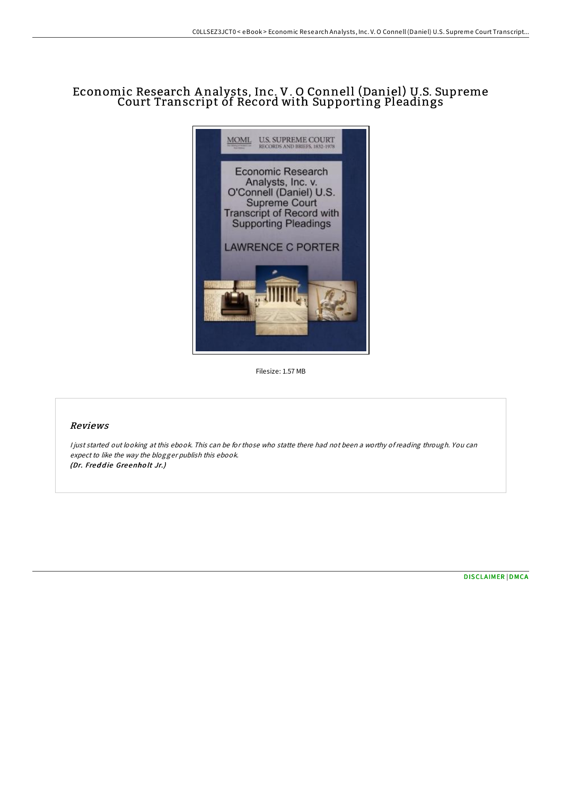# Economic Research A nalysts, Inc. V. O Connell (Daniel) U.S. Supreme Court Transcript of Record with Supporting Pleadings



Filesize: 1.57 MB

### Reviews

<sup>I</sup> just started out looking at this ebook. This can be for those who statte there had not been <sup>a</sup> worthy ofreading through. You can expect to like the way the blogger publish this ebook. (Dr. Freddie Greenholt Jr.)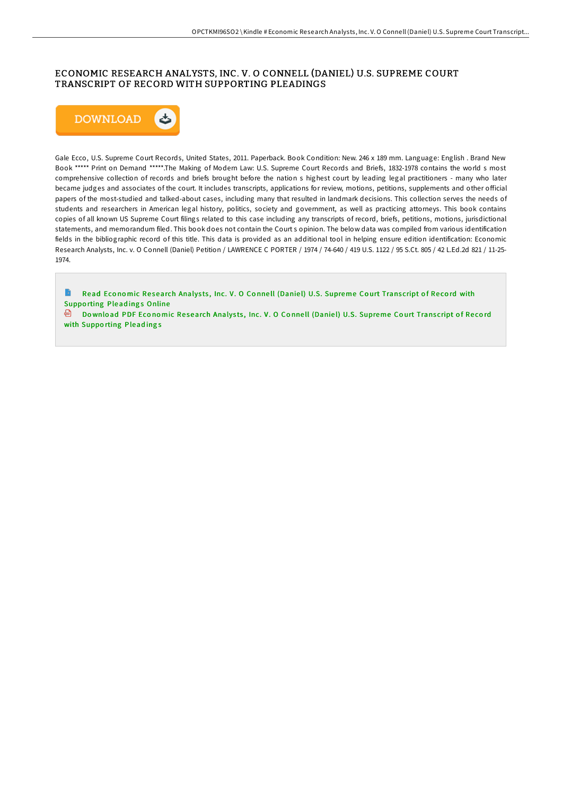## ECONOMIC RESEARCH ANALYSTS, INC. V. O CONNELL (DANIEL) U.S. SUPREME COURT TRANSCRIPT OF RECORD WITH SUPPORTING PLEADINGS



Gale Ecco, U.S. Supreme Court Records, United States, 2011. Paperback. Book Condition: New. 246 x 189 mm. Language: English. Brand New Book \*\*\*\*\* Print on Demand \*\*\*\*\*.The Making of Modern Law: U.S. Supreme Court Records and Briefs, 1832-1978 contains the world s most comprehensive collection of records and briefs brought before the nation s highest court by leading legal practitioners - many who later became judges and associates of the court. It includes transcripts, applications for review, motions, petitions, supplements and other official papers of the most-studied and talked-about cases, including many that resulted in landmark decisions. This collection serves the needs of students and researchers in American legal history, politics, society and government, as well as practicing attorneys. This book contains copies of all known US Supreme Court filings related to this case including any transcripts of record, briefs, petitions, motions, jurisdictional statements, and memorandum filed. This book does not contain the Courts opinion. The below data was compiled from various identification fields in the bibliographic record of this title. This data is provided as an additional tool in helping ensure edition identification: Economic Research Analysts, Inc. v. O Connell (Daniel) Petition / LAWRENCE C PORTER / 1974 / 74-640 / 419 U.S. 1122 / 95 S.Ct. 805 / 42 L.Ed.2d 821 / 11-25-1974.

B Read Economic Research Analysts, Inc. V. O Connell (Daniel) U.S. Supreme Court Transcript of Record with **Supporting Pleadings Online** 

Download PDF Economic Research Analysts, Inc. V. O Connell (Daniel) U.S. Supreme Court Transcript of Record with Supporting Pleadings